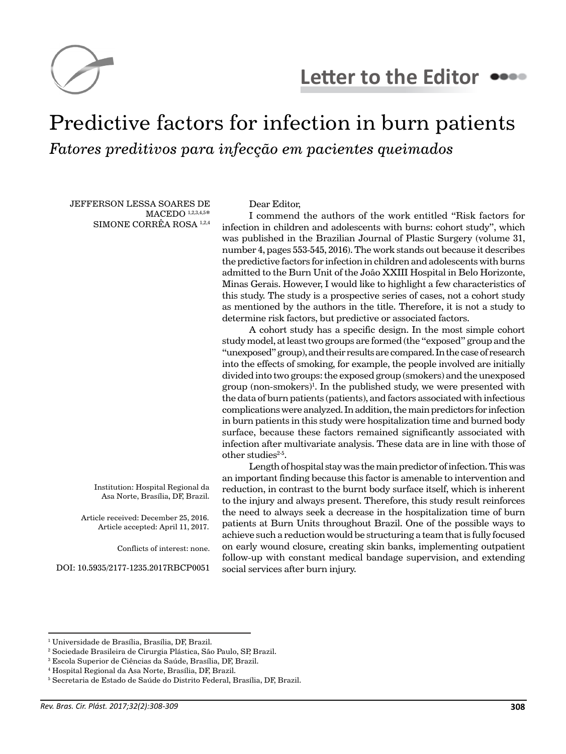

## Predictive factors for infection in burn patients *Fatores preditivos para infecção em pacientes queimados*

JEFFERSON LESSA SOARES DE MACEDO 1,2,3,4,5\* SIMONE CORRÊA ROSA 1,2,4

> Institution: Hospital Regional da Asa Norte, Brasília, DF, Brazil.

Article received: December 25, 2016. Article accepted: April 11, 2017.

Conflicts of interest: none.

DOI: 10.5935/2177-1235.2017RBCP0051

Dear Editor,

I commend the authors of the work entitled "Risk factors for infection in children and adolescents with burns: cohort study", which was published in the Brazilian Journal of Plastic Surgery (volume 31, number 4, pages 553-545, 2016). The work stands out because it describes the predictive factors for infection in children and adolescents with burns admitted to the Burn Unit of the João XXIII Hospital in Belo Horizonte, Minas Gerais. However, I would like to highlight a few characteristics of this study. The study is a prospective series of cases, not a cohort study as mentioned by the authors in the title. Therefore, it is not a study to determine risk factors, but predictive or associated factors.

A cohort study has a specific design. In the most simple cohort study model, at least two groups are formed (the "exposed" group and the "unexposed" group), and their results are compared. In the case of research into the effects of smoking, for example, the people involved are initially divided into two groups: the exposed group (smokers) and the unexposed group (non-smokers)<sup>1</sup>. In the published study, we were presented with the data of burn patients (patients), and factors associated with infectious complications were analyzed. In addition, the main predictors for infection in burn patients in this study were hospitalization time and burned body surface, because these factors remained significantly associated with infection after multivariate analysis. These data are in line with those of other studies $2-5$ .

Length of hospital stay was the main predictor of infection. This was an important finding because this factor is amenable to intervention and reduction, in contrast to the burnt body surface itself, which is inherent to the injury and always present. Therefore, this study result reinforces the need to always seek a decrease in the hospitalization time of burn patients at Burn Units throughout Brazil. One of the possible ways to achieve such a reduction would be structuring a team that is fully focused on early wound closure, creating skin banks, implementing outpatient follow-up with constant medical bandage supervision, and extending social services after burn injury.

<sup>1</sup> Universidade de Brasília, Brasília, DF, Brazil.

<sup>2</sup> Sociedade Brasileira de Cirurgia Plástica, São Paulo, SP, Brazil.

<sup>3</sup> Escola Superior de Ciências da Saúde, Brasília, DF, Brazil.

<sup>4</sup> Hospital Regional da Asa Norte, Brasília, DF, Brazil.

<sup>5</sup> Secretaria de Estado de Saúde do Distrito Federal, Brasília, DF, Brazil.